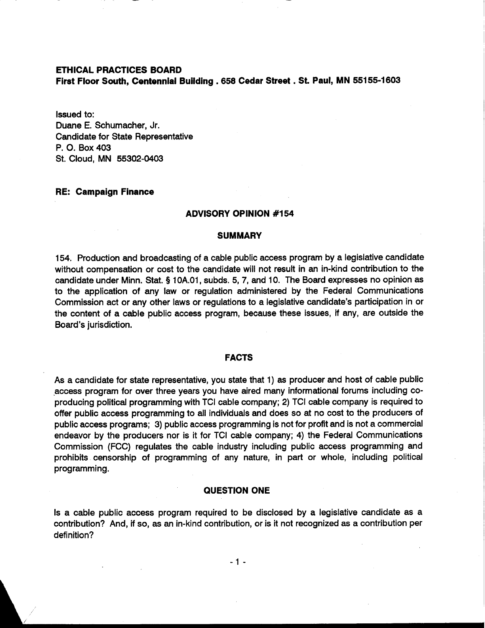# **ETHICAL PRACTICES BOARD**

**First Floor South, Centennial Building** . **658 Cedar Street** . **St. Paul, MN 55155-1603** 

Issued to: Duane E. Schumacher, Jr. Candidate for State Representative P. 0. Box 403 St. Cloud, MN 55302-0403

## **RE: Campaign Finance**

### **ADVISORY OPINION #I 54**

#### **SUMMARY**

154. Production and broadcasting of a cable public access program by a legislative candidate without compensation or cost to the candidate will not result in an in-kind contribution to the candidate under Minn. Stat. **5** 10A.O1, subds. 5, 7, and 10. The Board expresses no opinion as to the application of any law or regulation administered by the Federal Communications Commission act or any other laws or regulations to a legislative candidate's participation in or the content of a cable public access program, because these issues, if any, are outside the Board's jurisdiction.

### **FACTS**

As a candidate for state representative, you state that 1) as producer and host of cable public .access program for over three years you have aired many informational forums including coproducing political programming with TCI cable company; 2) TCI cable company is required to offer public access programming to all individuals and does so at no cost to the producers of public access programs; 3) public access programming is not for profit and is not a commercial endeavor by the producers nor is it for TCI cable company; 4) the Federal Communications Commission (FCC) regulates the cable industry including public access programming and prohibits censorship of programming of any nature, in part or whole, including political programming.

### **QUESTION ONE**

Is a cable public access program required to be disclosed by a legislative candidate as a contribution? And, if so, as an in-kind contribution, or is it not recognized as a contribution per definition?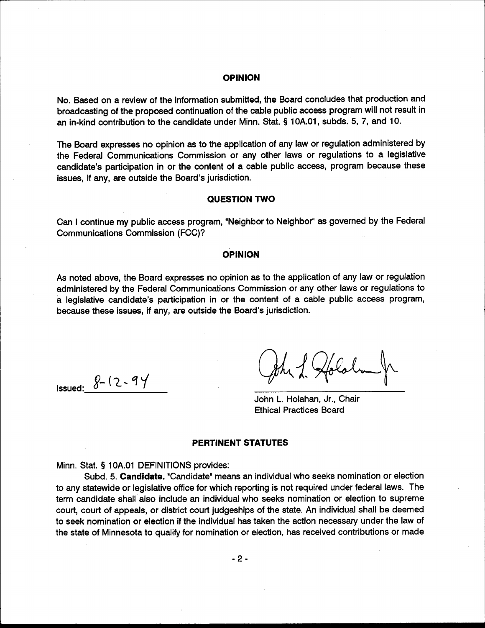#### **OPINION**

No. Based on a review of the information submitted, the Board concludes that production and broadcasting of the proposed continuation of the cable public access program will not result in an in-kind contribution to the candidate under Minn. Stat. § 10A.01, subds. 5, 7, and 10.

The Board expresses no opinion as to the application of any law or regulation administered by the Federal Communications Commission or any other laws or regulations to a legislative candidate's participation in or the content of a cable public access, program because these issues, if any, are outside the Board's jurisdiction.

#### **QUESTION TWO**

Can I continue my public access program, "Neighbor to Neighbor" as governed by the Federal **Communications Commission (FCC)?** 

### **OPINION**

As noted above, the Board expresses no opinion as to the application of any law or regulation administered by the Federal Communications Commission or any other laws or regulations to a legislative candidate's participation in or the content of a cable public access program, because these issues, if any, are outside the Board's jurisdiction.

**Issued:**  $8 - 12 - 94$ 

John L. Holahan, Jr., Chair **Ethical Practices Board** 

#### **PERTINENT STATUTES**

Minn. Stat. § 10A.01 DEFINITIONS provides:

Subd. 5. Candidate. "Candidate" means an individual who seeks nomination or election to any statewide or legislative office for which reporting is not required under federal laws. The term candidate shall also include an individual who seeks nomination or election to supreme court, court of appeals, or district court judgeships of the state. An individual shall be deemed to seek nomination or election if the individual has taken the action necessary under the law of the state of Minnesota to qualify for nomination or election, has received contributions or made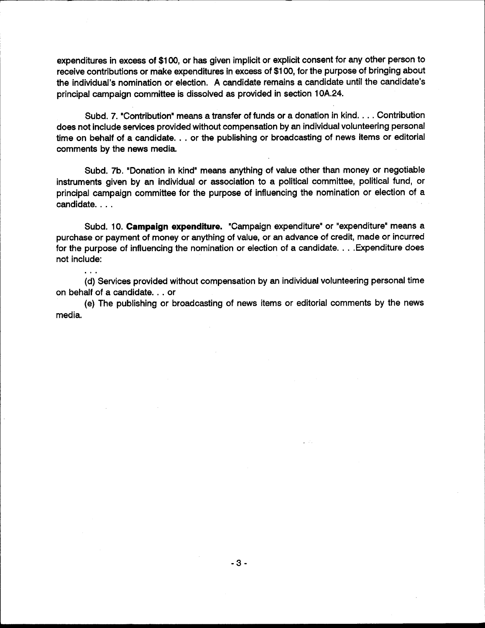expenditures in excess of \$100, or has given implicit or explicit consent for any other person to receive contributions or make expenditures in excess of \$100, for the purpose of bringing about the individual's nomination or election. A candidate remains a candidate until the candidate's principal campaign committee is dissolved as provided in section 10A.24.

Subd. 7. "Contribution" means a transfer of funds or a donation in kind. . . . Contribution does not include services provided without compensation by an individual volunteering personal time on behalf of a candidate. . . or the publishing or broadcasting of news items or editorial comments by the news media.

Subd. 7b. "Donation in kind" means anything of value other than money or negotiable instruments given by an individual or association to a political committee, political fund, or principal campaign committee for the purpose of influencing the nomination or election of a candidate. . . .

Subd. 10. Campaign expenditure. "Campaign expenditure" or "expenditure" means a purchase or payment of money or anything of value, or an advance of credit, made or incurred for the purpose of influencing the nomination or election of a candidate. . . . Expenditure does not include:

(d) Services provided without compensation by an individual volunteering personal time on behalf of a candidate. . . or

 $\overline{a}$ 

(e) The publishing or broadcasting of news items or editorial comments by the news media.